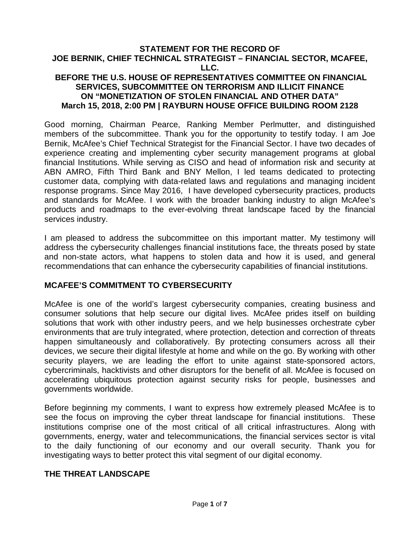### **STATEMENT FOR THE RECORD OF JOE BERNIK, CHIEF TECHNICAL STRATEGIST – FINANCIAL SECTOR, MCAFEE, LLC. BEFORE THE U.S. HOUSE OF REPRESENTATIVES COMMITTEE ON FINANCIAL**

# **SERVICES, SUBCOMMITTEE ON TERRORISM AND ILLICIT FINANCE ON "MONETIZATION OF STOLEN FINANCIAL AND OTHER DATA" March 15, 2018, 2:00 PM | RAYBURN HOUSE OFFICE BUILDING ROOM 2128**

Good morning, Chairman Pearce, Ranking Member Perlmutter, and distinguished members of the subcommittee. Thank you for the opportunity to testify today. I am Joe Bernik, McAfee's Chief Technical Strategist for the Financial Sector. I have two decades of experience creating and implementing cyber security management programs at global financial Institutions. While serving as CISO and head of information risk and security at ABN AMRO, Fifth Third Bank and BNY Mellon, I led teams dedicated to protecting customer data, complying with data-related laws and regulations and managing incident response programs. Since May 2016, I have developed cybersecurity practices, products and standards for McAfee. I work with the broader banking industry to align McAfee's products and roadmaps to the ever-evolving threat landscape faced by the financial services industry.

I am pleased to address the subcommittee on this important matter. My testimony will address the cybersecurity challenges financial institutions face, the threats posed by state and non-state actors, what happens to stolen data and how it is used, and general recommendations that can enhance the cybersecurity capabilities of financial institutions.

### **MCAFEE'S COMMITMENT TO CYBERSECURITY**

McAfee is one of the world's largest cybersecurity companies, creating business and consumer solutions that help secure our digital lives. McAfee prides itself on building solutions that work with other industry peers, and we help businesses orchestrate cyber environments that are truly integrated, where protection, detection and correction of threats happen simultaneously and collaboratively. By protecting consumers across all their devices, we secure their digital lifestyle at home and while on the go. By working with other security players, we are leading the effort to unite against state-sponsored actors, cybercriminals, hacktivists and other disruptors for the benefit of all. McAfee is focused on accelerating ubiquitous protection against security risks for people, businesses and governments worldwide.

Before beginning my comments, I want to express how extremely pleased McAfee is to see the focus on improving the cyber threat landscape for financial institutions. These institutions comprise one of the most critical of all critical infrastructures. Along with governments, energy, water and telecommunications, the financial services sector is vital to the daily functioning of our economy and our overall security. Thank you for investigating ways to better protect this vital segment of our digital economy.

#### **THE THREAT LANDSCAPE**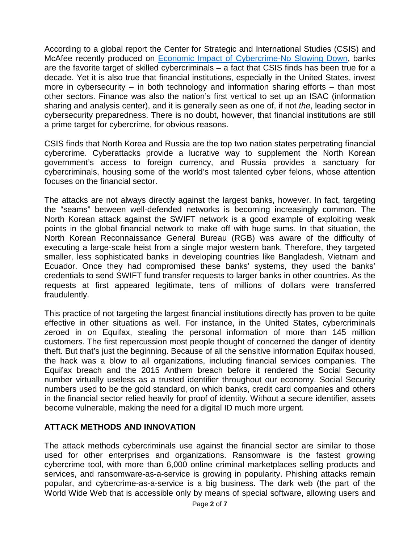According to a global report the Center for Strategic and International Studies (CSIS) and McAfee recently produced on [Economic Impact of Cybercrime-No Slowing Down,](https://www.mcafee.com/us/resources/reports/rp-economic-impact-cybercrime-summary.pdf) banks are the favorite target of skilled cybercriminals – a fact that CSIS finds has been true for a decade. Yet it is also true that financial institutions, especially in the United States, invest more in cybersecurity – in both technology and information sharing efforts – than most other sectors. Finance was also the nation's first vertical to set up an ISAC (information sharing and analysis center), and it is generally seen as one of, if not *the*, leading sector in cybersecurity preparedness. There is no doubt, however, that financial institutions are still a prime target for cybercrime, for obvious reasons.

CSIS finds that North Korea and Russia are the top two nation states perpetrating financial cybercrime. Cyberattacks provide a lucrative way to supplement the North Korean government's access to foreign currency, and Russia provides a sanctuary for cybercriminals, housing some of the world's most talented cyber felons, whose attention focuses on the financial sector.

The attacks are not always directly against the largest banks, however. In fact, targeting the "seams" between well-defended networks is becoming increasingly common. The North Korean attack against the SWIFT network is a good example of exploiting weak points in the global financial network to make off with huge sums. In that situation, the North Korean Reconnaissance General Bureau (RGB) was aware of the difficulty of executing a large-scale heist from a single major western bank. Therefore, they targeted smaller, less sophisticated banks in developing countries like Bangladesh, Vietnam and Ecuador. Once they had compromised these banks' systems, they used the banks' credentials to send SWIFT fund transfer requests to larger banks in other countries. As the requests at first appeared legitimate, tens of millions of dollars were transferred fraudulently.

This practice of not targeting the largest financial institutions directly has proven to be quite effective in other situations as well. For instance, in the United States, cybercriminals zeroed in on Equifax, stealing the personal information of more than 145 million customers. The first repercussion most people thought of concerned the danger of identity theft. But that's just the beginning. Because of all the sensitive information Equifax housed, the hack was a blow to all organizations, including financial services companies. The Equifax breach and the 2015 Anthem breach before it rendered the Social Security number virtually useless as a trusted identifier throughout our economy. Social Security numbers used to be the gold standard, on which banks, credit card companies and others in the financial sector relied heavily for proof of identity. Without a secure identifier, assets become vulnerable, making the need for a digital ID much more urgent.

# **ATTACK METHODS AND INNOVATION**

The attack methods cybercriminals use against the financial sector are similar to those used for other enterprises and organizations. Ransomware is the fastest growing cybercrime tool, with more than 6,000 online criminal marketplaces selling products and services, and ransomware-as-a-service is growing in popularity. Phishing attacks remain popular, and cybercrime-as-a-service is a big business. The dark web (the part of the World Wide Web that is accessible only by means of special software, allowing users and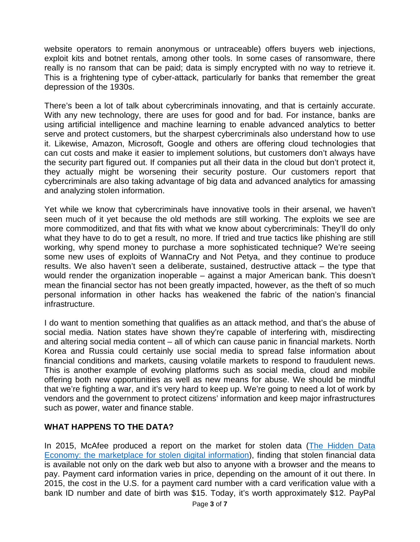website operators to remain anonymous or untraceable) offers buyers web injections, exploit kits and botnet rentals, among other tools. In some cases of ransomware, there really is no ransom that can be paid; data is simply encrypted with no way to retrieve it. This is a frightening type of cyber-attack, particularly for banks that remember the great depression of the 1930s.

There's been a lot of talk about cybercriminals innovating, and that is certainly accurate. With any new technology, there are uses for good and for bad. For instance, banks are using artificial intelligence and machine learning to enable advanced analytics to better serve and protect customers, but the sharpest cybercriminals also understand how to use it. Likewise, Amazon, Microsoft, Google and others are offering cloud technologies that can cut costs and make it easier to implement solutions, but customers don't always have the security part figured out. If companies put all their data in the cloud but don't protect it, they actually might be worsening their security posture. Our customers report that cybercriminals are also taking advantage of big data and advanced analytics for amassing and analyzing stolen information.

Yet while we know that cybercriminals have innovative tools in their arsenal, we haven't seen much of it yet because the old methods are still working. The exploits we see are more commoditized, and that fits with what we know about cybercriminals: They'll do only what they have to do to get a result, no more. If tried and true tactics like phishing are still working, why spend money to purchase a more sophisticated technique? We're seeing some new uses of exploits of WannaCry and Not Petya, and they continue to produce results. We also haven't seen a deliberate, sustained, destructive attack – the type that would render the organization inoperable – against a major American bank. This doesn't mean the financial sector has not been greatly impacted, however, as the theft of so much personal information in other hacks has weakened the fabric of the nation's financial infrastructure.

I do want to mention something that qualifies as an attack method, and that's the abuse of social media. Nation states have shown they're capable of interfering with, misdirecting and altering social media content – all of which can cause panic in financial markets. North Korea and Russia could certainly use social media to spread false information about financial conditions and markets, causing volatile markets to respond to fraudulent news. This is another example of evolving platforms such as social media, cloud and mobile offering both new opportunities as well as new means for abuse. We should be mindful that we're fighting a war, and it's very hard to keep up. We're going to need a lot of work by vendors and the government to protect citizens' information and keep major infrastructures such as power, water and finance stable.

### **WHAT HAPPENS TO THE DATA?**

In 2015, McAfee produced a report on the market for stolen data (The Hidden Data [Economy: the marketplace for stolen digital information\)](https://www.mcafee.com/us/resources/reports/rp-hidden-data-economy.pdf), finding that stolen financial data is available not only on the dark web but also to anyone with a browser and the means to pay. Payment card information varies in price, depending on the amount of it out there. In 2015, the cost in the U.S. for a payment card number with a card verification value with a bank ID number and date of birth was \$15. Today, it's worth approximately \$12. PayPal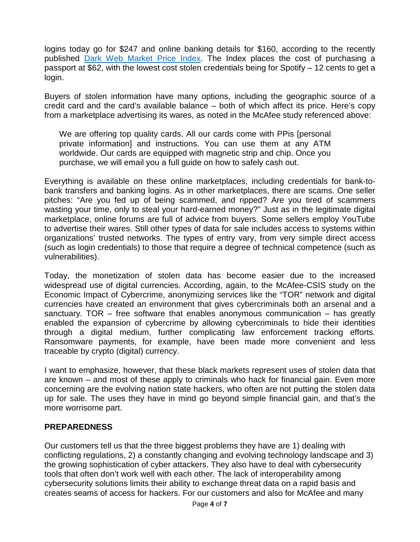logins today go for \$247 and online banking details for \$160, according to the recently published [Dark Web Market Price Index.](https://www.top10vpn.com/privacy-central/privacy/dark-web-market-price-index-feb-2018-us/) The Index places the cost of purchasing a passport at \$62, with the lowest cost stolen credentials being for Spotify – 12 cents to get a login.

Buyers of stolen information have many options, including the geographic source of a credit card and the card's available balance – both of which affect its price. Here's copy from a marketplace advertising its wares, as noted in the McAfee study referenced above:

We are offering top quality cards. All our cards come with PPis [personal private information] and instructions. You can use them at any ATM worldwide. Our cards are equipped with magnetic strip and chip. Once you purchase, we will email you a full guide on how to safely cash out.

Everything is available on these online marketplaces, including credentials for bank-tobank transfers and banking logins. As in other marketplaces, there are scams. One seller pitches: "Are you fed up of being scammed, and ripped? Are you tired of scammers wasting your time, only to steal your hard-earned money?" Just as in the legitimate digital marketplace, online forums are full of advice from buyers. Some sellers employ YouTube to advertise their wares. Still other types of data for sale includes access to systems within organizations' trusted networks. The types of entry vary, from very simple direct access (such as login credentials) to those that require a degree of technical competence (such as vulnerabilities).

Today, the monetization of stolen data has become easier due to the increased widespread use of digital currencies. According, again, to the McAfee-CSIS study on the Economic Impact of Cybercrime, anonymizing services like the "TOR" network and digital currencies have created an environment that gives cybercriminals both an arsenal and a sanctuary. TOR – free software that enables anonymous communication – has greatly enabled the expansion of cybercrime by allowing cybercriminals to hide their identities through a digital medium, further complicating law enforcement tracking efforts. Ransomware payments, for example, have been made more convenient and less traceable by crypto (digital) currency.

I want to emphasize, however, that these black markets represent uses of stolen data that are known – and most of these apply to criminals who hack for financial gain. Even more concerning are the evolving nation state hackers, who often are not putting the stolen data up for sale. The uses they have in mind go beyond simple financial gain, and that's the more worrisome part.

### **PREPAREDNESS**

Our customers tell us that the three biggest problems they have are 1) dealing with conflicting regulations, 2) a constantly changing and evolving technology landscape and 3) the growing sophistication of cyber attackers. They also have to deal with cybersecurity tools that often don't work well with each other. The lack of interoperability among cybersecurity solutions limits their ability to exchange threat data on a rapid basis and creates seams of access for hackers. For our customers and also for McAfee and many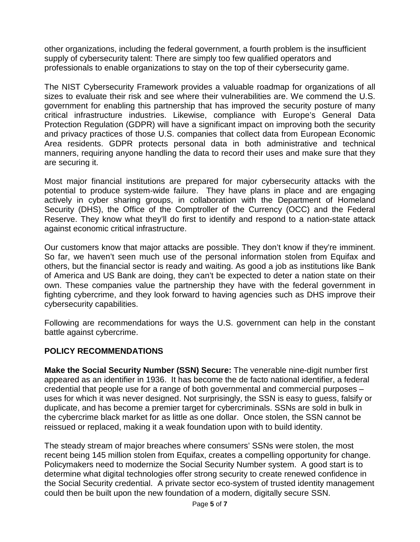other organizations, including the federal government, a fourth problem is the insufficient supply of cybersecurity talent: There are simply too few qualified operators and professionals to enable organizations to stay on the top of their cybersecurity game.

The NIST Cybersecurity Framework provides a valuable roadmap for organizations of all sizes to evaluate their risk and see where their vulnerabilities are. We commend the U.S. government for enabling this partnership that has improved the security posture of many critical infrastructure industries. Likewise, compliance with Europe's General Data Protection Regulation (GDPR) will have a significant impact on improving both the security and privacy practices of those U.S. companies that collect data from European Economic Area residents. GDPR protects personal data in both administrative and technical manners, requiring anyone handling the data to record their uses and make sure that they are securing it.

Most major financial institutions are prepared for major cybersecurity attacks with the potential to produce system-wide failure. They have plans in place and are engaging actively in cyber sharing groups, in collaboration with the Department of Homeland Security (DHS), the Office of the Comptroller of the Currency (OCC) and the Federal Reserve. They know what they'll do first to identify and respond to a nation-state attack against economic critical infrastructure.

Our customers know that major attacks are possible. They don't know if they're imminent. So far, we haven't seen much use of the personal information stolen from Equifax and others, but the financial sector is ready and waiting. As good a job as institutions like Bank of America and US Bank are doing, they can't be expected to deter a nation state on their own. These companies value the partnership they have with the federal government in fighting cybercrime, and they look forward to having agencies such as DHS improve their cybersecurity capabilities.

Following are recommendations for ways the U.S. government can help in the constant battle against cybercrime.

### **POLICY RECOMMENDATIONS**

**Make the Social Security Number (SSN) Secure:** The venerable nine-digit number first appeared as an identifier in 1936. It has become the de facto national identifier, a federal credential that people use for a range of both governmental and commercial purposes – uses for which it was never designed. Not surprisingly, the SSN is easy to guess, falsify or duplicate, and has become a premier target for cybercriminals. SSNs are sold in bulk in the cybercrime black market for as little as one dollar. Once stolen, the SSN cannot be reissued or replaced, making it a weak foundation upon with to build identity.

The steady stream of major breaches where consumers' SSNs were stolen, the most recent being 145 million stolen from Equifax, creates a compelling opportunity for change. Policymakers need to modernize the Social Security Number system. A good start is to determine what digital technologies offer strong security to create renewed confidence in the Social Security credential. A private sector eco-system of trusted identity management could then be built upon the new foundation of a modern, digitally secure SSN.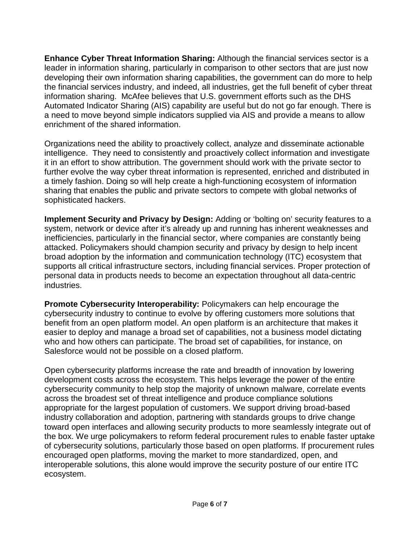**Enhance Cyber Threat Information Sharing:** Although the financial services sector is a leader in information sharing, particularly in comparison to other sectors that are just now developing their own information sharing capabilities, the government can do more to help the financial services industry, and indeed, all industries, get the full benefit of cyber threat information sharing. McAfee believes that U.S. government efforts such as the DHS Automated Indicator Sharing (AIS) capability are useful but do not go far enough. There is a need to move beyond simple indicators supplied via AIS and provide a means to allow enrichment of the shared information.

Organizations need the ability to proactively collect, analyze and disseminate actionable intelligence. They need to consistently and proactively collect information and investigate it in an effort to show attribution. The government should work with the private sector to further evolve the way cyber threat information is represented, enriched and distributed in a timely fashion. Doing so will help create a high-functioning ecosystem of information sharing that enables the public and private sectors to compete with global networks of sophisticated hackers.

**Implement Security and Privacy by Design:** Adding or 'bolting on' security features to a system, network or device after it's already up and running has inherent weaknesses and inefficiencies, particularly in the financial sector, where companies are constantly being attacked. Policymakers should champion security and privacy by design to help incent broad adoption by the information and communication technology (ITC) ecosystem that supports all critical infrastructure sectors, including financial services. Proper protection of personal data in products needs to become an expectation throughout all data-centric industries.

**Promote Cybersecurity Interoperability:** Policymakers can help encourage the cybersecurity industry to continue to evolve by offering customers more solutions that benefit from an open platform model. An open platform is an architecture that makes it easier to deploy and manage a broad set of capabilities, not a business model dictating who and how others can participate. The broad set of capabilities, for instance, on Salesforce would not be possible on a closed platform.

Open cybersecurity platforms increase the rate and breadth of innovation by lowering development costs across the ecosystem. This helps leverage the power of the entire cybersecurity community to help stop the majority of unknown malware, correlate events across the broadest set of threat intelligence and produce compliance solutions appropriate for the largest population of customers. We support driving broad-based industry collaboration and adoption, partnering with standards groups to drive change toward open interfaces and allowing security products to more seamlessly integrate out of the box. We urge policymakers to reform federal procurement rules to enable faster uptake of cybersecurity solutions, particularly those based on open platforms. If procurement rules encouraged open platforms, moving the market to more standardized, open, and interoperable solutions, this alone would improve the security posture of our entire ITC ecosystem.